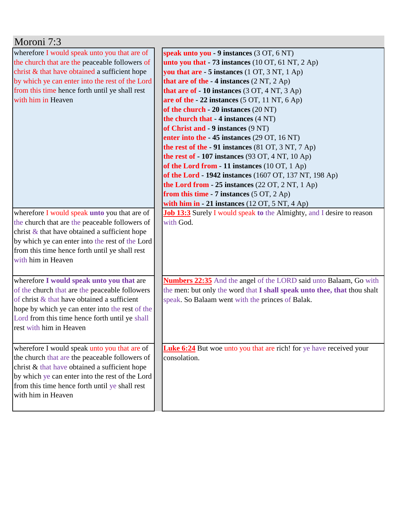| Moroni 7:3                                                                                                                                                                                                                                                                    |                                                                                                                                                                                                                                                                                                                                                                                                                                                                                                                                                                                                                                                                                                                                                                                                                                                                         |  |  |  |
|-------------------------------------------------------------------------------------------------------------------------------------------------------------------------------------------------------------------------------------------------------------------------------|-------------------------------------------------------------------------------------------------------------------------------------------------------------------------------------------------------------------------------------------------------------------------------------------------------------------------------------------------------------------------------------------------------------------------------------------------------------------------------------------------------------------------------------------------------------------------------------------------------------------------------------------------------------------------------------------------------------------------------------------------------------------------------------------------------------------------------------------------------------------------|--|--|--|
| wherefore I would speak unto you that are of<br>the church that are the peaceable followers of<br>christ & that have obtained a sufficient hope<br>by which ye can enter into the rest of the Lord<br>from this time hence forth until ye shall rest<br>with him in Heaven    | speak unto you - 9 instances (3 OT, 6 NT)<br>unto you that $-73$ instances (10 OT, 61 NT, 2 Ap)<br>you that are - 5 instances (1 OT, 3 NT, 1 Ap)<br>that are of the $-4$ instances $(2 NT, 2 Ap)$<br>that are of $-10$ instances $(3 OT, 4 NT, 3 Ap)$<br>are of the $-22$ instances (5 OT, 11 NT, 6 Ap)<br>of the church $-20$ instances $(20 \text{ NT})$<br>the church that - 4 instances (4 NT)<br>of Christ and - 9 instances (9 NT)<br>enter into the - 45 instances (29 OT, 16 NT)<br>the rest of the $-91$ instances (81 OT, 3 NT, 7 Ap)<br>the rest of $-107$ instances (93 OT, 4 NT, 10 Ap)<br>of the Lord from $-11$ instances (10 OT, 1 Ap)<br>of the Lord - 1942 instances (1607 OT, 137 NT, 198 Ap)<br>the Lord from $-25$ instances (22 OT, 2 NT, 1 Ap)<br>from this time - 7 instances $(5 OT, 2 Ap)$<br>with him in $-21$ instances (12 OT, 5 NT, 4 Ap) |  |  |  |
| wherefore I would speak unto you that are of<br>the church that are the peaceable followers of<br>christ $\&$ that have obtained a sufficient hope<br>by which ye can enter into the rest of the Lord<br>from this time hence forth until ye shall rest<br>with him in Heaven | <b>Job 13:3</b> Surely I would speak to the Almighty, and I desire to reason<br>with God.                                                                                                                                                                                                                                                                                                                                                                                                                                                                                                                                                                                                                                                                                                                                                                               |  |  |  |
| wherefore I would speak unto you that are<br>of the church that are the peaceable followers<br>of christ $\&$ that have obtained a sufficient<br>hope by which ye can enter into the rest of the<br>Lord from this time hence forth until ye shall<br>rest with him in Heaven | <b>Numbers 22:35</b> And the angel of the LORD said unto Balaam, Go with<br>the men: but only the word that I shall speak unto thee, that thou shalt<br>speak. So Balaam went with the princes of Balak.                                                                                                                                                                                                                                                                                                                                                                                                                                                                                                                                                                                                                                                                |  |  |  |
| wherefore I would speak unto you that are of<br>the church that are the peaceable followers of<br>christ & that have obtained a sufficient hope<br>by which ye can enter into the rest of the Lord<br>from this time hence forth until ye shall rest<br>with him in Heaven    | <b>Luke 6:24</b> But woe unto you that are rich! for ye have received your<br>consolation.                                                                                                                                                                                                                                                                                                                                                                                                                                                                                                                                                                                                                                                                                                                                                                              |  |  |  |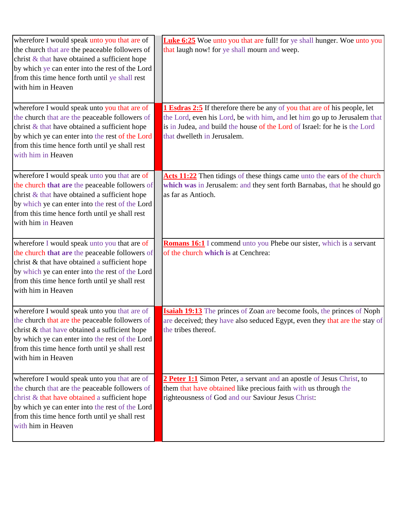| wherefore I would speak unto you that are of<br>the church that are the peaceable followers of<br>christ & that have obtained a sufficient hope<br>by which ye can enter into the rest of the Lord<br>from this time hence forth until ye shall rest<br>with him in Heaven | <b>Luke 6:25</b> Woe unto you that are full! for ye shall hunger. Woe unto you<br>that laugh now! for ye shall mourn and weep.                                                                                                                                             |
|----------------------------------------------------------------------------------------------------------------------------------------------------------------------------------------------------------------------------------------------------------------------------|----------------------------------------------------------------------------------------------------------------------------------------------------------------------------------------------------------------------------------------------------------------------------|
| wherefore I would speak unto you that are of<br>the church that are the peaceable followers of<br>christ & that have obtained a sufficient hope<br>by which ye can enter into the rest of the Lord<br>from this time hence forth until ye shall rest<br>with him in Heaven | <b>1 Esdras 2:5</b> If therefore there be any of you that are of his people, let<br>the Lord, even his Lord, be with him, and let him go up to Jerusalem that<br>is in Judea, and build the house of the Lord of Israel: for he is the Lord<br>that dwelleth in Jerusalem. |
| wherefore I would speak unto you that are of<br>the church that are the peaceable followers of<br>christ & that have obtained a sufficient hope<br>by which ye can enter into the rest of the Lord<br>from this time hence forth until ye shall rest<br>with him in Heaven | Acts 11:22 Then tidings of these things came unto the ears of the church<br>which was in Jerusalem: and they sent forth Barnabas, that he should go<br>as far as Antioch.                                                                                                  |
| wherefore I would speak unto you that are of<br>the church that are the peaceable followers of<br>christ & that have obtained a sufficient hope<br>by which ye can enter into the rest of the Lord<br>from this time hence forth until ye shall rest<br>with him in Heaven | <b>Romans 16:1</b> I commend unto you Phebe our sister, which is a servant<br>of the church which is at Cenchrea:                                                                                                                                                          |
| wherefore I would speak unto you that are of<br>the church that are the peaceable followers of<br>christ & that have obtained a sufficient hope<br>by which ye can enter into the rest of the Lord<br>from this time hence forth until ye shall rest<br>with him in Heaven | <b>Isaiah 19:13</b> The princes of Zoan are become fools, the princes of Noph<br>are deceived; they have also seduced Egypt, even they that are the stay of<br>the tribes thereof.                                                                                         |
| wherefore I would speak unto you that are of<br>the church that are the peaceable followers of<br>christ & that have obtained a sufficient hope<br>by which ye can enter into the rest of the Lord<br>from this time hence forth until ye shall rest<br>with him in Heaven | 2 Peter 1:1 Simon Peter, a servant and an apostle of Jesus Christ, to<br>them that have obtained like precious faith with us through the<br>righteousness of God and our Saviour Jesus Christ:                                                                             |